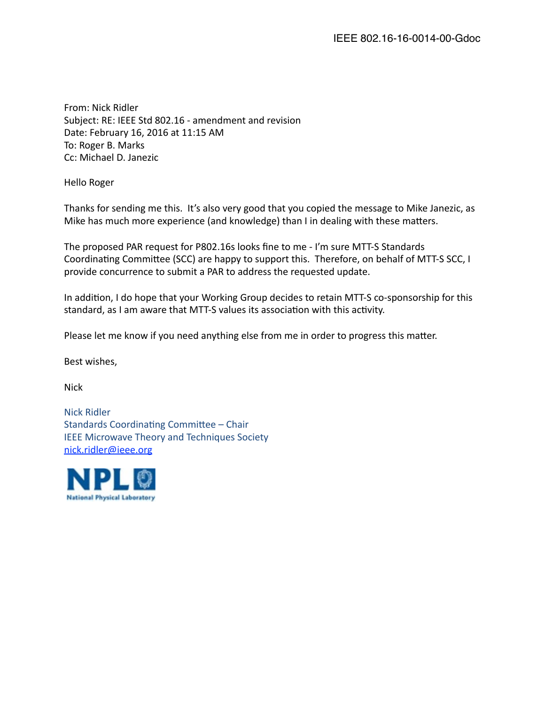From: Nick Ridler Subject: RE: IEEE Std 802.16 - amendment and revision Date: February 16, 2016 at 11:15 AM To: Roger B. Marks Cc: Michael D. Janezic

Hello Roger

Thanks for sending me this. It's also very good that you copied the message to Mike Janezic, as Mike has much more experience (and knowledge) than I in dealing with these matters.

The proposed PAR request for P802.16s looks fine to me - I'm sure MTT-S Standards Coordinating Committee (SCC) are happy to support this. Therefore, on behalf of MTT-S SCC, I provide concurrence to submit a PAR to address the requested update.

In addition, I do hope that your Working Group decides to retain MTT-S co-sponsorship for this standard, as I am aware that MTT-S values its association with this activity.

Please let me know if you need anything else from me in order to progress this matter.

Best wishes,

Nick

Nick Ridler Standards Coordinating Committee - Chair IEEE Microwave Theory and Techniques Society [nick.ridler@ieee.org](mailto:nick.ridler@ieee.org)

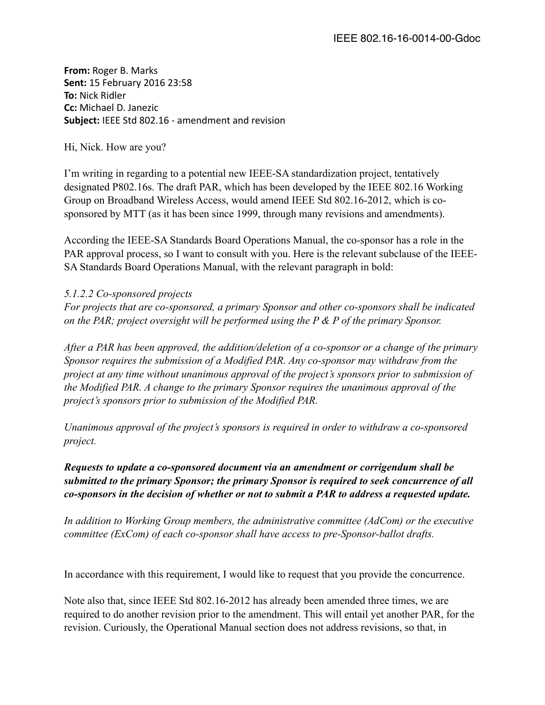**From:** Roger B. Marks **Sent:** 15 February 2016 23:58 **To: Nick Ridler Cc:** Michael D. Janezic **Subject:** IEEE Std 802.16 - amendment and revision

Hi, Nick. How are you?

I'm writing in regarding to a potential new IEEE-SA standardization project, tentatively designated P802.16s. The draft PAR, which has been developed by the IEEE 802.16 Working Group on Broadband Wireless Access, would amend IEEE Std 802.16-2012, which is cosponsored by MTT (as it has been since 1999, through many revisions and amendments).

According the IEEE-SA Standards Board Operations Manual, the co-sponsor has a role in the PAR approval process, so I want to consult with you. Here is the relevant subclause of the IEEE-SA Standards Board Operations Manual, with the relevant paragraph in bold:

## *5.1.2.2 Co-sponsored projects*

*For projects that are co-sponsored, a primary Sponsor and other co-sponsors shall be indicated on the PAR; project oversight will be performed using the P & P of the primary Sponsor.*

*After a PAR has been approved, the addition/deletion of a co-sponsor or a change of the primary Sponsor requires the submission of a Modified PAR. Any co-sponsor may withdraw from the project at any time without unanimous approval of the project's sponsors prior to submission of the Modified PAR. A change to the primary Sponsor requires the unanimous approval of the project's sponsors prior to submission of the Modified PAR.*

*Unanimous approval of the project's sponsors is required in order to withdraw a co-sponsored project.* 

## *Requests to update a co-sponsored document via an amendment or corrigendum shall be submitted to the primary Sponsor; the primary Sponsor is required to seek concurrence of all co-sponsors in the decision of whether or not to submit a PAR to address a requested update.*

*In addition to Working Group members, the administrative committee (AdCom) or the executive committee (ExCom) of each co-sponsor shall have access to pre-Sponsor-ballot drafts.*

In accordance with this requirement, I would like to request that you provide the concurrence.

Note also that, since IEEE Std 802.16-2012 has already been amended three times, we are required to do another revision prior to the amendment. This will entail yet another PAR, for the revision. Curiously, the Operational Manual section does not address revisions, so that, in